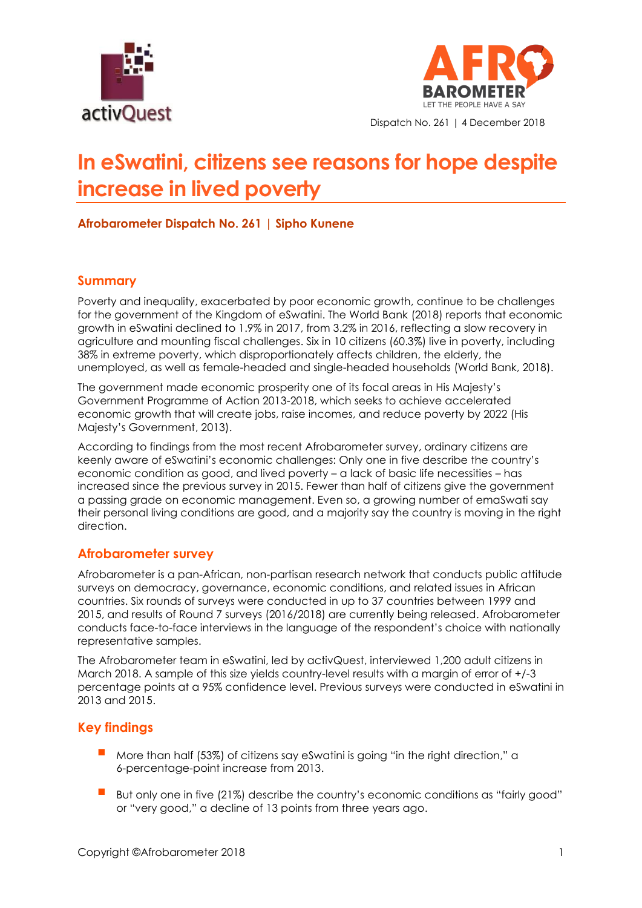



Dispatch No. 261 | 4 December 2018

# **In eSwatini, citizens see reasons for hope despite increase in lived poverty**

#### **Afrobarometer Dispatch No. 261 | Sipho Kunene**

#### **Summary**

Poverty and inequality, exacerbated by poor economic growth, continue to be challenges for the government of the Kingdom of eSwatini. The World Bank (2018) reports that economic growth in eSwatini declined to 1.9% in 2017, from 3.2% in 2016, reflecting a slow recovery in agriculture and mounting fiscal challenges. Six in 10 citizens (60.3%) live in poverty, including 38% in extreme poverty, which disproportionately affects children, the elderly, the unemployed, as well as female-headed and single-headed households (World Bank, 2018).

The government made economic prosperity one of its focal areas in His Majesty's Government Programme of Action 2013-2018, which seeks to achieve accelerated economic growth that will create jobs, raise incomes, and reduce poverty by 2022 (His Majesty's Government, 2013).

According to findings from the most recent Afrobarometer survey, ordinary citizens are keenly aware of eSwatini's economic challenges: Only one in five describe the country's economic condition as good, and lived poverty – a lack of basic life necessities – has increased since the previous survey in 2015. Fewer than half of citizens give the government a passing grade on economic management. Even so, a growing number of emaSwati say their personal living conditions are good, and a majority say the country is moving in the right direction.

#### **Afrobarometer survey**

Afrobarometer is a pan-African, non-partisan research network that conducts public attitude surveys on democracy, governance, economic conditions, and related issues in African countries. Six rounds of surveys were conducted in up to 37 countries between 1999 and 2015, and results of Round 7 surveys (2016/2018) are currently being released. Afrobarometer conducts face-to-face interviews in the language of the respondent's choice with nationally representative samples.

The Afrobarometer team in eSwatini, led by activQuest, interviewed 1,200 adult citizens in March 2018. A sample of this size yields country-level results with a margin of error of +/-3 percentage points at a 95% confidence level. Previous surveys were conducted in eSwatini in 2013 and 2015.

### **Key findings**

- More than half (53%) of citizens say eSwatini is going "in the right direction," a 6-percentage-point increase from 2013.
- But only one in five (21%) describe the country's economic conditions as "fairly good" or "very good," a decline of 13 points from three years ago.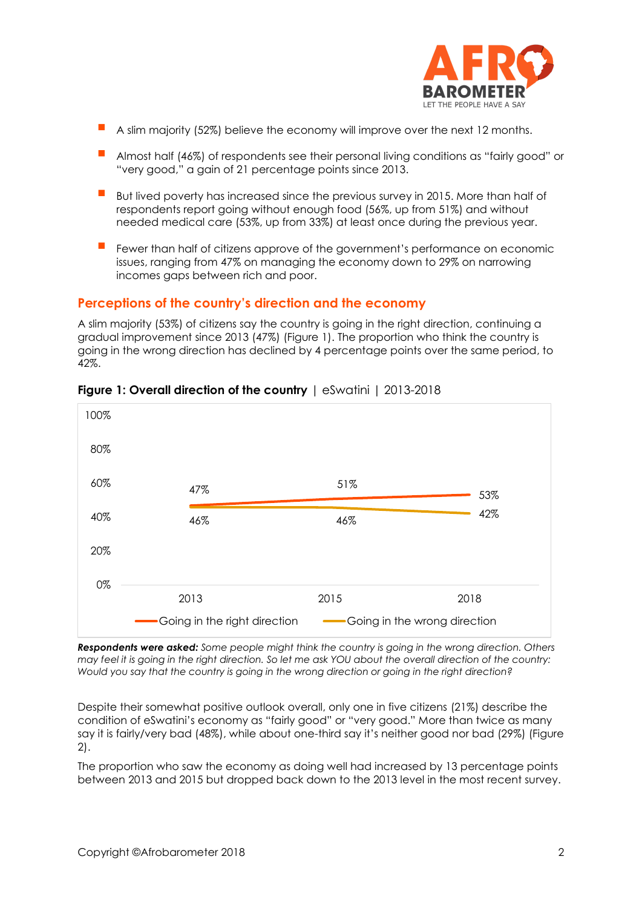

- A slim majority (52%) believe the economy will improve over the next 12 months.
- Almost half (46%) of respondents see their personal living conditions as "fairly good" or "very good," a gain of 21 percentage points since 2013.
- But lived poverty has increased since the previous survey in 2015. More than half of respondents report going without enough food (56%, up from 51%) and without needed medical care (53%, up from 33%) at least once during the previous year.
- Fewer than half of citizens approve of the government's performance on economic issues, ranging from 47% on managing the economy down to 29% on narrowing incomes gaps between rich and poor.

#### **Perceptions of the country's direction and the economy**

A slim majority (53%) of citizens say the country is going in the right direction, continuing a gradual improvement since 2013 (47%) (Figure 1). The proportion who think the country is going in the wrong direction has declined by 4 percentage points over the same period, to 42%.



#### **Figure 1: Overall direction of the country** | eSwatini | 2013-2018

*Respondents were asked: Some people might think the country is going in the wrong direction. Others may feel it is going in the right direction. So let me ask YOU about the overall direction of the country: Would you say that the country is going in the wrong direction or going in the right direction?*

Despite their somewhat positive outlook overall, only one in five citizens (21%) describe the condition of eSwatini's economy as "fairly good" or "very good." More than twice as many say it is fairly/very bad (48%), while about one-third say it's neither good nor bad (29%) (Figure 2).

The proportion who saw the economy as doing well had increased by 13 percentage points between 2013 and 2015 but dropped back down to the 2013 level in the most recent survey.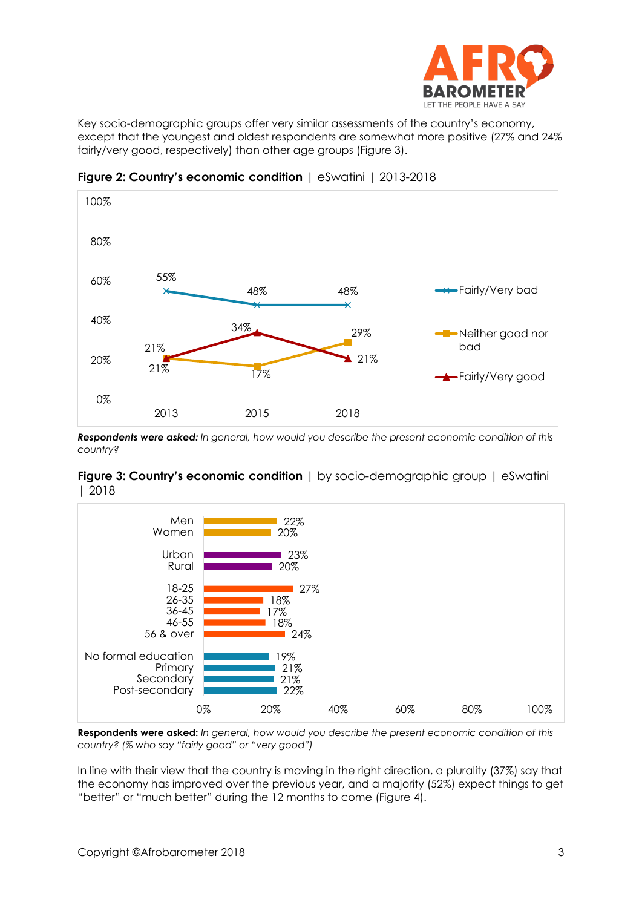

Key socio-demographic groups offer very similar assessments of the country's economy, except that the youngest and oldest respondents are somewhat more positive (27% and 24% fairly/very good, respectively) than other age groups (Figure 3).



**Figure 2: Country's economic condition** | eSwatini | 2013-2018

*Respondents were asked: In general, how would you describe the present economic condition of this country?*





**Respondents were asked:** *In general, how would you describe the present economic condition of this country? (% who say "fairly good" or "very good")*

In line with their view that the country is moving in the right direction, a plurality (37%) say that the economy has improved over the previous year, and a majority (52%) expect things to get "better" or "much better" during the 12 months to come (Figure 4).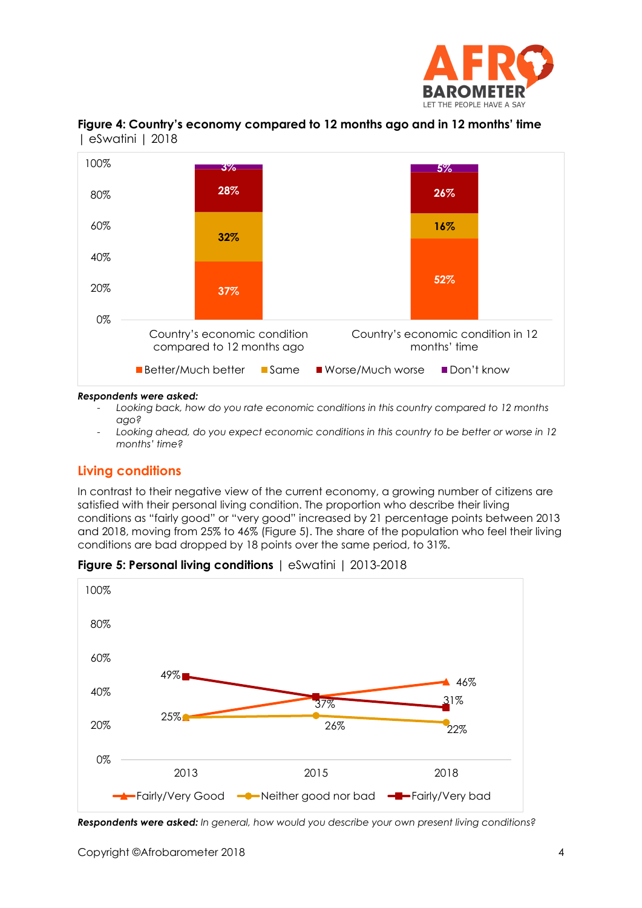



### **Figure 4: Country's economy compared to 12 months ago and in 12 months' time**  | eSwatini | 2018

#### *Respondents were asked:*

- *Looking back, how do you rate economic conditions in this country compared to 12 months ago?*
- *Looking ahead, do you expect economic conditions in this country to be better or worse in 12 months' time?*

#### **Living conditions**

In contrast to their negative view of the current economy, a growing number of citizens are satisfied with their personal living condition. The proportion who describe their living conditions as "fairly good" or "very good" increased by 21 percentage points between 2013 and 2018, moving from 25% to 46% (Figure 5). The share of the population who feel their living conditions are bad dropped by 18 points over the same period, to 31%.





*Respondents were asked: In general, how would you describe your own present living conditions?*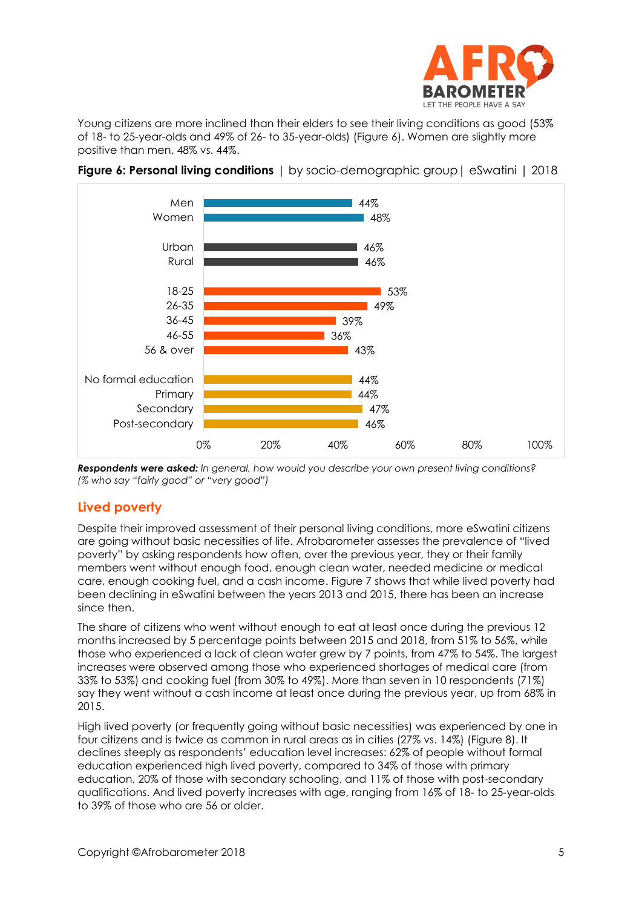

Young citizens are more inclined than their elders to see their living conditions as good (53% of 18- to 25-year-olds and 49% of 26- to 35-year-olds) (Figure 6). Women are slightly more positive than men, 48% vs. 44%.



**Figure 6: Personal living conditions** | by socio-demographic group| eSwatini | 2018

*Respondents were asked: In general, how would you describe your own present living conditions? (% who say "fairly good" or "very good")*

# **Lived poverty**

Despite their improved assessment of their personal living conditions, more eSwatini citizens are going without basic necessities of life. Afrobarometer assesses the prevalence of "lived poverty" by asking respondents how often, over the previous year, they or their family members went without enough food, enough clean water, needed medicine or medical care, enough cooking fuel, and a cash income. Figure 7 shows that while lived poverty had been declining in eSwatini between the years 2013 and 2015, there has been an increase since then.

The share of citizens who went without enough to eat at least once during the previous 12 months increased by 5 percentage points between 2015 and 2018, from 51% to 56%, while those who experienced a lack of clean water grew by 7 points, from 47% to 54%. The largest increases were observed among those who experienced shortages of medical care (from 33% to 53%) and cooking fuel (from 30% to 49%). More than seven in 10 respondents (71%) say they went without a cash income at least once during the previous year, up from 68% in 2015.

High lived poverty (or frequently going without basic necessities) was experienced by one in four citizens and is twice as common in rural areas as in cities (27% vs. 14%) (Figure 8). It declines steeply as respondents' education level increases: 62% of people without formal education experienced high lived poverty, compared to 34% of those with primary education, 20% of those with secondary schooling, and 11% of those with post-secondary qualifications. And lived poverty increases with age, ranging from 16% of 18- to 25-year-olds to 39% of those who are 56 or older.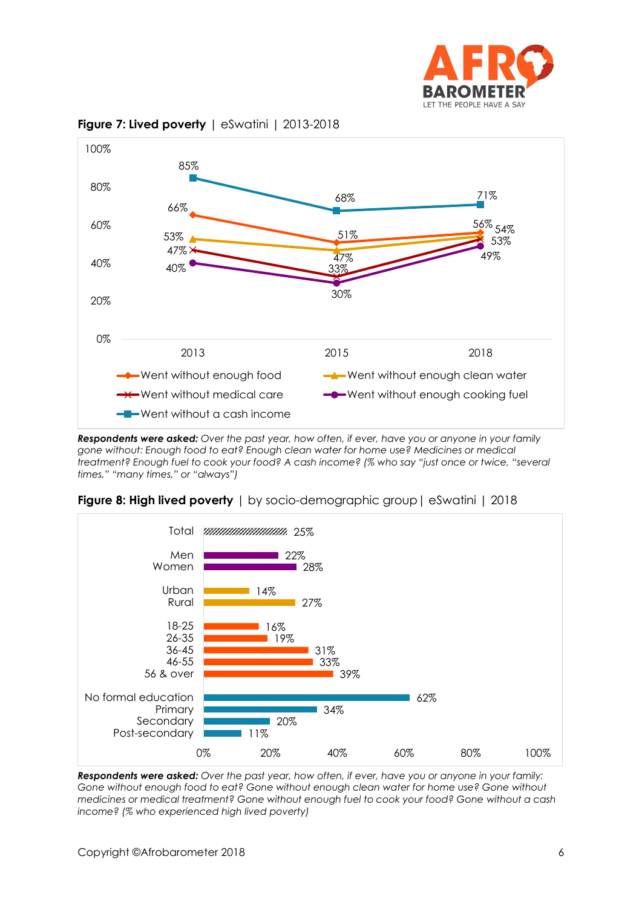



**Figure 7: Lived poverty** | eSwatini | 2013-2018

*Respondents were asked: Over the past year, how often, if ever, have you or anyone in your family gone without: Enough food to eat? Enough clean water for home use? Medicines or medical treatment? Enough fuel to cook your food? A cash income? (% who say "just once or twice, "several times," "many times," or "always")*



**Figure 8: High lived poverty** | by socio-demographic group | eSwatini | 2018

*Respondents were asked: Over the past year, how often, if ever, have you or anyone in your family: Gone without enough food to eat? Gone without enough clean water for home use? Gone without medicines or medical treatment? Gone without enough fuel to cook your food? Gone without a cash income? (% who experienced high lived poverty)*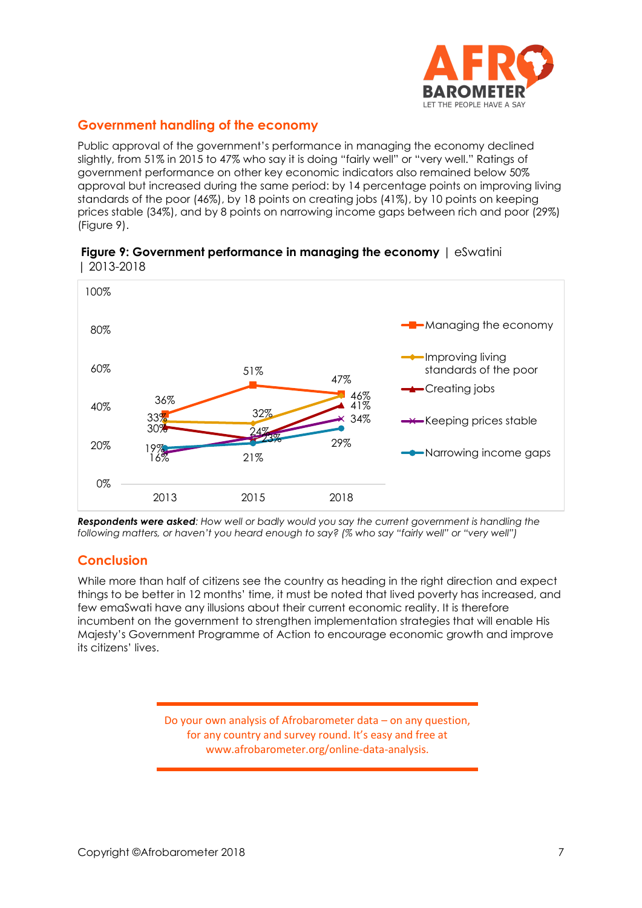

# **Government handling of the economy**

Public approval of the government's performance in managing the economy declined slightly, from 51% in 2015 to 47% who say it is doing "fairly well" or "very well." Ratings of government performance on other key economic indicators also remained below 50% approval but increased during the same period: by 14 percentage points on improving living standards of the poor (46%), by 18 points on creating jobs (41%), by 10 points on keeping prices stable (34%), and by 8 points on narrowing income gaps between rich and poor (29%) (Figure 9).





*Respondents were asked: How well or badly would you say the current government is handling the following matters, or haven't you heard enough to say? (% who say "fairly well" or "very well")* 

# **Conclusion**

While more than half of citizens see the country as heading in the right direction and expect things to be better in 12 months' time, it must be noted that lived poverty has increased, and few emaSwati have any illusions about their current economic reality. It is therefore incumbent on the government to strengthen implementation strategies that will enable His Majesty's Government Programme of Action to encourage economic growth and improve its citizens' lives.

> Do your own analysis of Afrobarometer data – on any question, for any country and survey round. It's easy and free at www.afrobarometer.org/online-data-analysis.